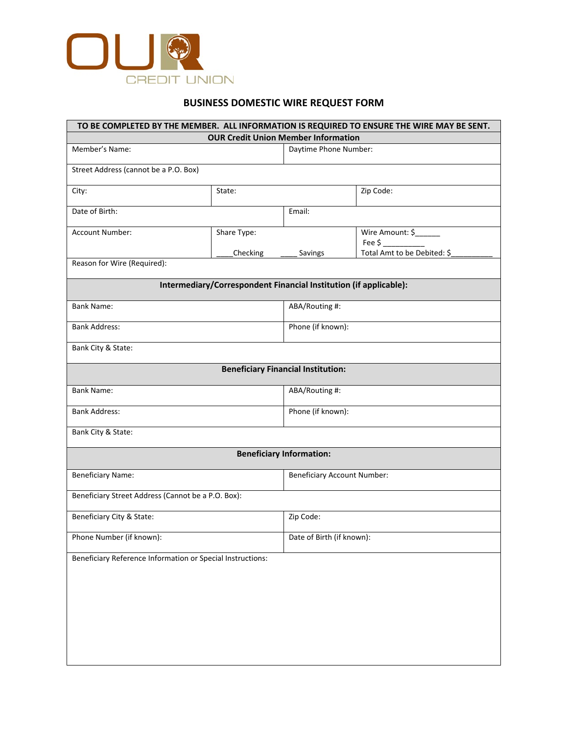

# **BUSINESS DOMESTIC WIRE REQUEST FORM**

|                                                            | <b>OUR Credit Union Member Information</b>                        |                                           | TO BE COMPLETED BY THE MEMBER. ALL INFORMATION IS REQUIRED TO ENSURE THE WIRE MAY BE SENT. |  |
|------------------------------------------------------------|-------------------------------------------------------------------|-------------------------------------------|--------------------------------------------------------------------------------------------|--|
| Member's Name:                                             |                                                                   |                                           | Daytime Phone Number:                                                                      |  |
| Street Address (cannot be a P.O. Box)                      |                                                                   |                                           |                                                                                            |  |
| City:                                                      | State:                                                            |                                           | Zip Code:                                                                                  |  |
| Date of Birth:                                             |                                                                   | Email:                                    |                                                                                            |  |
|                                                            |                                                                   |                                           |                                                                                            |  |
| Account Number:                                            | Share Type:                                                       |                                           | Wire Amount: \$<br>Fee $\zeta$                                                             |  |
|                                                            | Checking                                                          | Savings                                   | Total Amt to be Debited: \$                                                                |  |
| Reason for Wire (Required):                                |                                                                   |                                           |                                                                                            |  |
|                                                            | Intermediary/Correspondent Financial Institution (if applicable): |                                           |                                                                                            |  |
| Bank Name:                                                 |                                                                   | ABA/Routing #:                            |                                                                                            |  |
| <b>Bank Address:</b>                                       |                                                                   |                                           | Phone (if known):                                                                          |  |
| Bank City & State:                                         |                                                                   |                                           |                                                                                            |  |
|                                                            |                                                                   | <b>Beneficiary Financial Institution:</b> |                                                                                            |  |
|                                                            |                                                                   |                                           |                                                                                            |  |
| Bank Name:                                                 |                                                                   |                                           | ABA/Routing #:                                                                             |  |
| <b>Bank Address:</b>                                       |                                                                   |                                           | Phone (if known):                                                                          |  |
| Bank City & State:                                         |                                                                   |                                           |                                                                                            |  |
|                                                            |                                                                   | <b>Beneficiary Information:</b>           |                                                                                            |  |
| <b>Beneficiary Name:</b>                                   |                                                                   |                                           | <b>Beneficiary Account Number:</b>                                                         |  |
| Beneficiary Street Address (Cannot be a P.O. Box):         |                                                                   |                                           |                                                                                            |  |
| Beneficiary City & State:                                  |                                                                   | Zip Code:                                 |                                                                                            |  |
| Phone Number (if known):                                   |                                                                   |                                           | Date of Birth (if known):                                                                  |  |
| Beneficiary Reference Information or Special Instructions: |                                                                   |                                           |                                                                                            |  |
|                                                            |                                                                   |                                           |                                                                                            |  |
|                                                            |                                                                   |                                           |                                                                                            |  |
|                                                            |                                                                   |                                           |                                                                                            |  |
|                                                            |                                                                   |                                           |                                                                                            |  |
|                                                            |                                                                   |                                           |                                                                                            |  |
|                                                            |                                                                   |                                           |                                                                                            |  |
|                                                            |                                                                   |                                           |                                                                                            |  |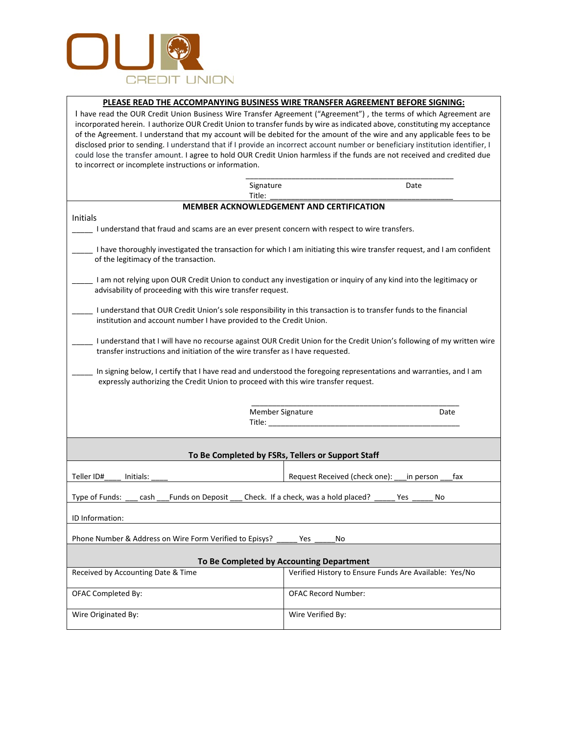

## **PLEASE READ THE ACCOMPANYING BUSINESS WIRE TRANSFER AGREEMENT BEFORE SIGNING:**

I have read the OUR Credit Union Business Wire Transfer Agreement ("Agreement") , the terms of which Agreement are incorporated herein. I authorize OUR Credit Union to transfer funds by wire as indicated above, constituting my acceptance of the Agreement. I understand that my account will be debited for the amount of the wire and any applicable fees to be disclosed prior to sending. I understand that if I provide an incorrect account number or beneficiary institution identifier, I could lose the transfer amount. I agree to hold OUR Credit Union harmless if the funds are not received and credited due to incorrect or incomplete instructions or information.

| Signature                                                                                                                                                                                                |                                                        | Date             |  |  |
|----------------------------------------------------------------------------------------------------------------------------------------------------------------------------------------------------------|--------------------------------------------------------|------------------|--|--|
| Title:                                                                                                                                                                                                   |                                                        |                  |  |  |
|                                                                                                                                                                                                          | <b>MEMBER ACKNOWLEDGEMENT AND CERTIFICATION</b>        |                  |  |  |
| Initials<br>I understand that fraud and scams are an ever present concern with respect to wire transfers.                                                                                                |                                                        |                  |  |  |
| I have thoroughly investigated the transaction for which I am initiating this wire transfer request, and I am confident<br>of the legitimacy of the transaction.                                         |                                                        |                  |  |  |
| I am not relying upon OUR Credit Union to conduct any investigation or inquiry of any kind into the legitimacy or<br>advisability of proceeding with this wire transfer request.                         |                                                        |                  |  |  |
| I understand that OUR Credit Union's sole responsibility in this transaction is to transfer funds to the financial<br>institution and account number I have provided to the Credit Union.                |                                                        |                  |  |  |
| I understand that I will have no recourse against OUR Credit Union for the Credit Union's following of my written wire<br>transfer instructions and initiation of the wire transfer as I have requested. |                                                        |                  |  |  |
| In signing below, I certify that I have read and understood the foregoing representations and warranties, and I am<br>expressly authorizing the Credit Union to proceed with this wire transfer request. |                                                        |                  |  |  |
| Member Signature<br>Title: Title:                                                                                                                                                                        |                                                        | Date             |  |  |
| To Be Completed by FSRs, Tellers or Support Staff                                                                                                                                                        |                                                        |                  |  |  |
| Teller ID#<br>Initials:                                                                                                                                                                                  | Request Received (check one):                          | in person<br>fax |  |  |
| Type of Funds:<br>Funds on Deposit<br>Check. If a check, was a hold placed?<br>cash<br>Yes<br>No                                                                                                         |                                                        |                  |  |  |
| ID Information:                                                                                                                                                                                          |                                                        |                  |  |  |
| Phone Number & Address on Wire Form Verified to Episys?<br><b>Yes</b><br>No                                                                                                                              |                                                        |                  |  |  |
| To Be Completed by Accounting Department                                                                                                                                                                 |                                                        |                  |  |  |
| Received by Accounting Date & Time                                                                                                                                                                       | Verified History to Ensure Funds Are Available: Yes/No |                  |  |  |
| OFAC Completed By:                                                                                                                                                                                       | <b>OFAC Record Number:</b>                             |                  |  |  |
| Wire Originated By:                                                                                                                                                                                      | Wire Verified By:                                      |                  |  |  |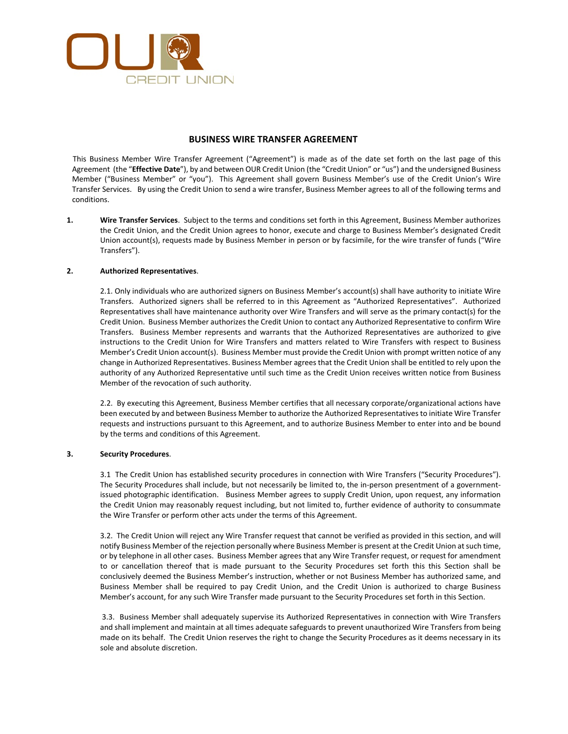

### **BUSINESS WIRE TRANSFER AGREEMENT**

This Business Member Wire Transfer Agreement ("Agreement") is made as of the date set forth on the last page of this Agreement (the "**Effective Date**"), by and between OUR Credit Union (the "Credit Union" or "us") and the undersigned Business Member ("Business Member" or "you"). This Agreement shall govern Business Member's use of the Credit Union's Wire Transfer Services. By using the Credit Union to send a wire transfer, Business Member agrees to all of the following terms and conditions.

**1. Wire Transfer Services**. Subject to the terms and conditions set forth in this Agreement, Business Member authorizes the Credit Union, and the Credit Union agrees to honor, execute and charge to Business Member's designated Credit Union account(s), requests made by Business Member in person or by facsimile, for the wire transfer of funds ("Wire Transfers").

#### **2. Authorized Representatives**.

2.1. Only individuals who are authorized signers on Business Member's account(s) shall have authority to initiate Wire Transfers. Authorized signers shall be referred to in this Agreement as "Authorized Representatives". Authorized Representatives shall have maintenance authority over Wire Transfers and will serve as the primary contact(s) for the Credit Union. Business Member authorizes the Credit Union to contact any Authorized Representative to confirm Wire Transfers. Business Member represents and warrants that the Authorized Representatives are authorized to give instructions to the Credit Union for Wire Transfers and matters related to Wire Transfers with respect to Business Member's Credit Union account(s). Business Member must provide the Credit Union with prompt written notice of any change in Authorized Representatives. Business Member agrees that the Credit Union shall be entitled to rely upon the authority of any Authorized Representative until such time as the Credit Union receives written notice from Business Member of the revocation of such authority.

2.2. By executing this Agreement, Business Member certifies that all necessary corporate/organizational actions have been executed by and between Business Member to authorize the Authorized Representatives to initiate Wire Transfer requests and instructions pursuant to this Agreement, and to authorize Business Member to enter into and be bound by the terms and conditions of this Agreement.

#### **3. Security Procedures**.

3.1 The Credit Union has established security procedures in connection with Wire Transfers ("Security Procedures"). The Security Procedures shall include, but not necessarily be limited to, the in-person presentment of a governmentissued photographic identification. Business Member agrees to supply Credit Union, upon request, any information the Credit Union may reasonably request including, but not limited to, further evidence of authority to consummate the Wire Transfer or perform other acts under the terms of this Agreement.

3.2. The Credit Union will reject any Wire Transfer request that cannot be verified as provided in this section, and will notify Business Member of the rejection personally where Business Member is present at the Credit Union at such time, or by telephone in all other cases. Business Member agrees that any Wire Transfer request, or request for amendment to or cancellation thereof that is made pursuant to the Security Procedures set forth this this Section shall be conclusively deemed the Business Member's instruction, whether or not Business Member has authorized same, and Business Member shall be required to pay Credit Union, and the Credit Union is authorized to charge Business Member's account, for any such Wire Transfer made pursuant to the Security Procedures set forth in this Section.

3.3. Business Member shall adequately supervise its Authorized Representatives in connection with Wire Transfers and shall implement and maintain at all times adequate safeguards to prevent unauthorized Wire Transfers from being made on its behalf. The Credit Union reserves the right to change the Security Procedures as it deems necessary in its sole and absolute discretion.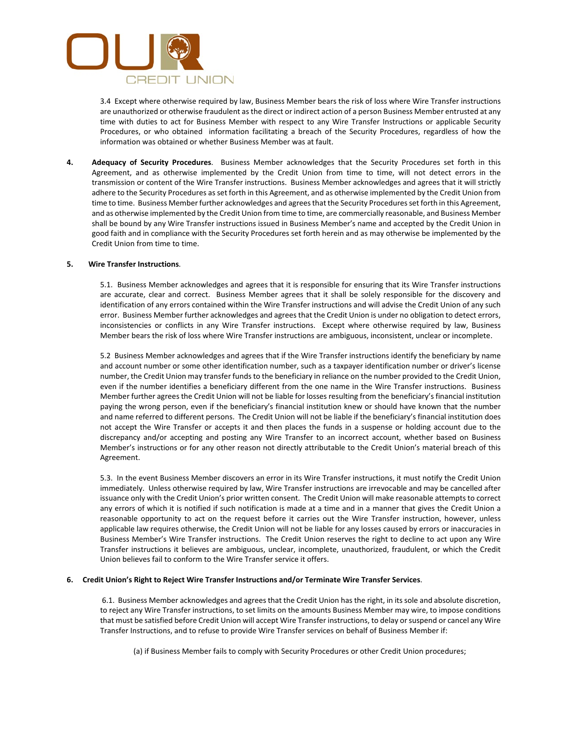

3.4 Except where otherwise required by law, Business Member bears the risk of loss where Wire Transfer instructions are unauthorized or otherwise fraudulent as the direct or indirect action of a person Business Member entrusted at any time with duties to act for Business Member with respect to any Wire Transfer Instructions or applicable Security Procedures, or who obtained information facilitating a breach of the Security Procedures, regardless of how the information was obtained or whether Business Member was at fault.

**4. Adequacy of Security Procedures**. Business Member acknowledges that the Security Procedures set forth in this Agreement, and as otherwise implemented by the Credit Union from time to time, will not detect errors in the transmission or content of the Wire Transfer instructions. Business Member acknowledges and agrees that it will strictly adhere to the Security Procedures as set forth in this Agreement, and as otherwise implemented by the Credit Union from time to time. Business Member further acknowledges and agrees that the Security Procedures set forth in this Agreement, and as otherwise implemented by the Credit Union from time to time, are commercially reasonable, and Business Member shall be bound by any Wire Transfer instructions issued in Business Member's name and accepted by the Credit Union in good faith and in compliance with the Security Procedures set forth herein and as may otherwise be implemented by the Credit Union from time to time.

#### **5. Wire Transfer Instructions**.

5.1. Business Member acknowledges and agrees that it is responsible for ensuring that its Wire Transfer instructions are accurate, clear and correct. Business Member agrees that it shall be solely responsible for the discovery and identification of any errors contained within the Wire Transfer instructions and will advise the Credit Union of any such error. Business Member further acknowledges and agrees that the Credit Union is under no obligation to detect errors, inconsistencies or conflicts in any Wire Transfer instructions. Except where otherwise required by law, Business Member bears the risk of loss where Wire Transfer instructions are ambiguous, inconsistent, unclear or incomplete.

5.2 Business Member acknowledges and agrees that if the Wire Transfer instructions identify the beneficiary by name and account number or some other identification number, such as a taxpayer identification number or driver's license number, the Credit Union may transfer funds to the beneficiary in reliance on the number provided to the Credit Union, even if the number identifies a beneficiary different from the one name in the Wire Transfer instructions. Business Member further agrees the Credit Union will not be liable for losses resulting from the beneficiary's financial institution paying the wrong person, even if the beneficiary's financial institution knew or should have known that the number and name referred to different persons. The Credit Union will not be liable if the beneficiary's financial institution does not accept the Wire Transfer or accepts it and then places the funds in a suspense or holding account due to the discrepancy and/or accepting and posting any Wire Transfer to an incorrect account, whether based on Business Member's instructions or for any other reason not directly attributable to the Credit Union's material breach of this Agreement.

5.3. In the event Business Member discovers an error in its Wire Transfer instructions, it must notify the Credit Union immediately. Unless otherwise required by law, Wire Transfer instructions are irrevocable and may be cancelled after issuance only with the Credit Union's prior written consent. The Credit Union will make reasonable attempts to correct any errors of which it is notified if such notification is made at a time and in a manner that gives the Credit Union a reasonable opportunity to act on the request before it carries out the Wire Transfer instruction, however, unless applicable law requires otherwise, the Credit Union will not be liable for any losses caused by errors or inaccuracies in Business Member's Wire Transfer instructions. The Credit Union reserves the right to decline to act upon any Wire Transfer instructions it believes are ambiguous, unclear, incomplete, unauthorized, fraudulent, or which the Credit Union believes fail to conform to the Wire Transfer service it offers.

#### **6. Credit Union's Right to Reject Wire Transfer Instructions and/or Terminate Wire Transfer Services**.

6.1. Business Member acknowledges and agrees that the Credit Union has the right, in its sole and absolute discretion, to reject any Wire Transfer instructions, to set limits on the amounts Business Member may wire, to impose conditions that must be satisfied before Credit Union will accept Wire Transfer instructions, to delay or suspend or cancel any Wire Transfer Instructions, and to refuse to provide Wire Transfer services on behalf of Business Member if:

(a) if Business Member fails to comply with Security Procedures or other Credit Union procedures;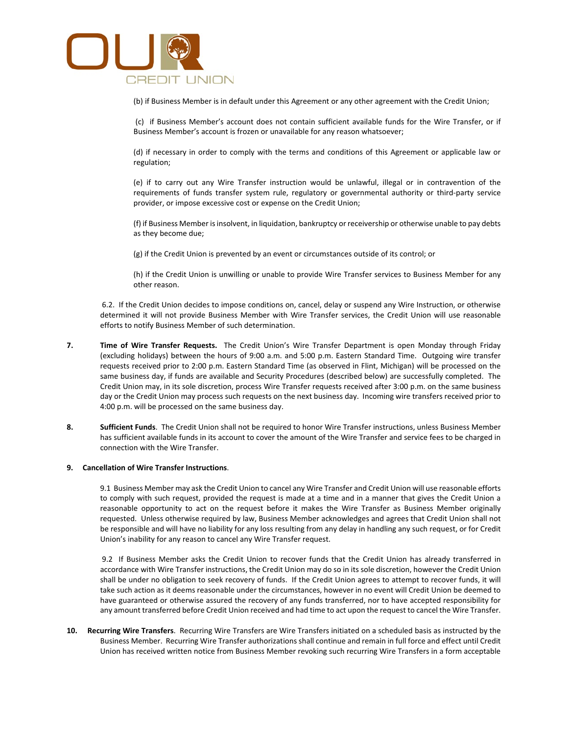

(b) if Business Member is in default under this Agreement or any other agreement with the Credit Union;

 (c) if Business Member's account does not contain sufficient available funds for the Wire Transfer, or if Business Member's account is frozen or unavailable for any reason whatsoever;

 (d) if necessary in order to comply with the terms and conditions of this Agreement or applicable law or regulation;

 (e) if to carry out any Wire Transfer instruction would be unlawful, illegal or in contravention of the requirements of funds transfer system rule, regulatory or governmental authority or third-party service provider, or impose excessive cost or expense on the Credit Union;

 (f) if Business Member is insolvent, in liquidation, bankruptcy or receivership or otherwise unable to pay debts as they become due;

(g) if the Credit Union is prevented by an event or circumstances outside of its control; or

 (h) if the Credit Union is unwilling or unable to provide Wire Transfer services to Business Member for any other reason.

6.2. If the Credit Union decides to impose conditions on, cancel, delay or suspend any Wire Instruction, or otherwise determined it will not provide Business Member with Wire Transfer services, the Credit Union will use reasonable efforts to notify Business Member of such determination.

- **7. Time of Wire Transfer Requests.** The Credit Union's Wire Transfer Department is open Monday through Friday (excluding holidays) between the hours of 9:00 a.m. and 5:00 p.m. Eastern Standard Time. Outgoing wire transfer requests received prior to 2:00 p.m. Eastern Standard Time (as observed in Flint, Michigan) will be processed on the same business day, if funds are available and Security Procedures (described below) are successfully completed. The Credit Union may, in its sole discretion, process Wire Transfer requests received after 3:00 p.m. on the same business day or the Credit Union may process such requests on the next business day. Incoming wire transfers received prior to 4:00 p.m. will be processed on the same business day.
- **8. Sufficient Funds**. The Credit Union shall not be required to honor Wire Transfer instructions, unless Business Member has sufficient available funds in its account to cover the amount of the Wire Transfer and service fees to be charged in connection with the Wire Transfer.

#### **9. Cancellation of Wire Transfer Instructions**.

9.1 Business Member may ask the Credit Union to cancel any Wire Transfer and Credit Union will use reasonable efforts to comply with such request, provided the request is made at a time and in a manner that gives the Credit Union a reasonable opportunity to act on the request before it makes the Wire Transfer as Business Member originally requested. Unless otherwise required by law, Business Member acknowledges and agrees that Credit Union shall not be responsible and will have no liability for any loss resulting from any delay in handling any such request, or for Credit Union's inability for any reason to cancel any Wire Transfer request.

9.2 If Business Member asks the Credit Union to recover funds that the Credit Union has already transferred in accordance with Wire Transfer instructions, the Credit Union may do so in its sole discretion, however the Credit Union shall be under no obligation to seek recovery of funds. If the Credit Union agrees to attempt to recover funds, it will take such action as it deems reasonable under the circumstances, however in no event will Credit Union be deemed to have guaranteed or otherwise assured the recovery of any funds transferred, nor to have accepted responsibility for any amount transferred before Credit Union received and had time to act upon the request to cancel the Wire Transfer.

**10. Recurring Wire Transfers**. Recurring Wire Transfers are Wire Transfers initiated on a scheduled basis as instructed by the Business Member. Recurring Wire Transfer authorizations shall continue and remain in full force and effect until Credit Union has received written notice from Business Member revoking such recurring Wire Transfers in a form acceptable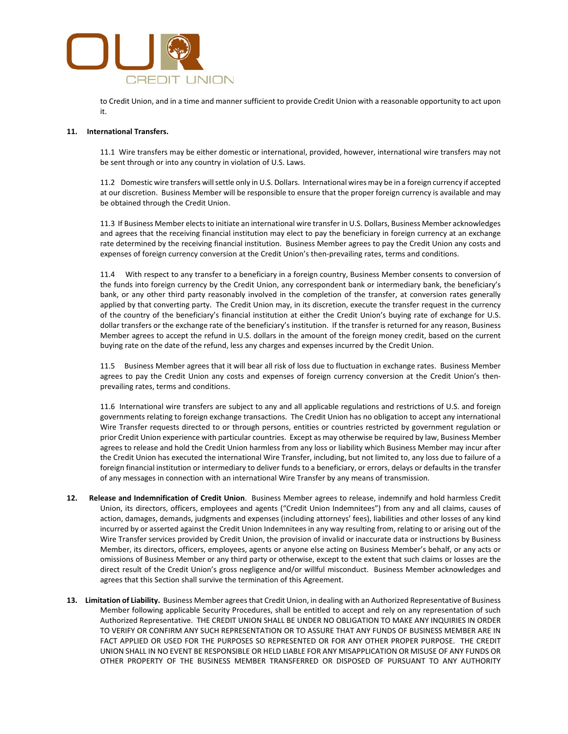

to Credit Union, and in a time and manner sufficient to provide Credit Union with a reasonable opportunity to act upon it.

#### **11. International Transfers.**

11.1 Wire transfers may be either domestic or international, provided, however, international wire transfers may not be sent through or into any country in violation of U.S. Laws.

11.2 Domestic wire transfers will settle only in U.S. Dollars. International wires may be in a foreign currency if accepted at our discretion. Business Member will be responsible to ensure that the proper foreign currency is available and may be obtained through the Credit Union.

11.3 If Business Member elects to initiate an international wire transfer in U.S. Dollars, Business Member acknowledges and agrees that the receiving financial institution may elect to pay the beneficiary in foreign currency at an exchange rate determined by the receiving financial institution. Business Member agrees to pay the Credit Union any costs and expenses of foreign currency conversion at the Credit Union's then-prevailing rates, terms and conditions.

11.4 With respect to any transfer to a beneficiary in a foreign country, Business Member consents to conversion of the funds into foreign currency by the Credit Union, any correspondent bank or intermediary bank, the beneficiary's bank, or any other third party reasonably involved in the completion of the transfer, at conversion rates generally applied by that converting party. The Credit Union may, in its discretion, execute the transfer request in the currency of the country of the beneficiary's financial institution at either the Credit Union's buying rate of exchange for U.S. dollar transfers or the exchange rate of the beneficiary's institution. If the transfer is returned for any reason, Business Member agrees to accept the refund in U.S. dollars in the amount of the foreign money credit, based on the current buying rate on the date of the refund, less any charges and expenses incurred by the Credit Union.

11.5 Business Member agrees that it will bear all risk of loss due to fluctuation in exchange rates. Business Member agrees to pay the Credit Union any costs and expenses of foreign currency conversion at the Credit Union's thenprevailing rates, terms and conditions.

11.6 International wire transfers are subject to any and all applicable regulations and restrictions of U.S. and foreign governments relating to foreign exchange transactions. The Credit Union has no obligation to accept any international Wire Transfer requests directed to or through persons, entities or countries restricted by government regulation or prior Credit Union experience with particular countries. Except as may otherwise be required by law, Business Member agrees to release and hold the Credit Union harmless from any loss or liability which Business Member may incur after the Credit Union has executed the international Wire Transfer, including, but not limited to, any loss due to failure of a foreign financial institution or intermediary to deliver funds to a beneficiary, or errors, delays or defaults in the transfer of any messages in connection with an international Wire Transfer by any means of transmission.

- **12. Release and Indemnification of Credit Union**. Business Member agrees to release, indemnify and hold harmless Credit Union, its directors, officers, employees and agents ("Credit Union Indemnitees") from any and all claims, causes of action, damages, demands, judgments and expenses (including attorneys' fees), liabilities and other losses of any kind incurred by or asserted against the Credit Union Indemnitees in any way resulting from, relating to or arising out of the Wire Transfer services provided by Credit Union, the provision of invalid or inaccurate data or instructions by Business Member, its directors, officers, employees, agents or anyone else acting on Business Member's behalf, or any acts or omissions of Business Member or any third party or otherwise, except to the extent that such claims or losses are the direct result of the Credit Union's gross negligence and/or willful misconduct. Business Member acknowledges and agrees that this Section shall survive the termination of this Agreement.
- **13. Limitation of Liability.** Business Member agrees that Credit Union, in dealing with an Authorized Representative of Business Member following applicable Security Procedures, shall be entitled to accept and rely on any representation of such Authorized Representative. THE CREDIT UNION SHALL BE UNDER NO OBLIGATION TO MAKE ANY INQUIRIES IN ORDER TO VERIFY OR CONFIRM ANY SUCH REPRESENTATION OR TO ASSURE THAT ANY FUNDS OF BUSINESS MEMBER ARE IN FACT APPLIED OR USED FOR THE PURPOSES SO REPRESENTED OR FOR ANY OTHER PROPER PURPOSE. THE CREDIT UNION SHALL IN NO EVENT BE RESPONSIBLE OR HELD LIABLE FOR ANY MISAPPLICATION OR MISUSE OF ANY FUNDS OR OTHER PROPERTY OF THE BUSINESS MEMBER TRANSFERRED OR DISPOSED OF PURSUANT TO ANY AUTHORITY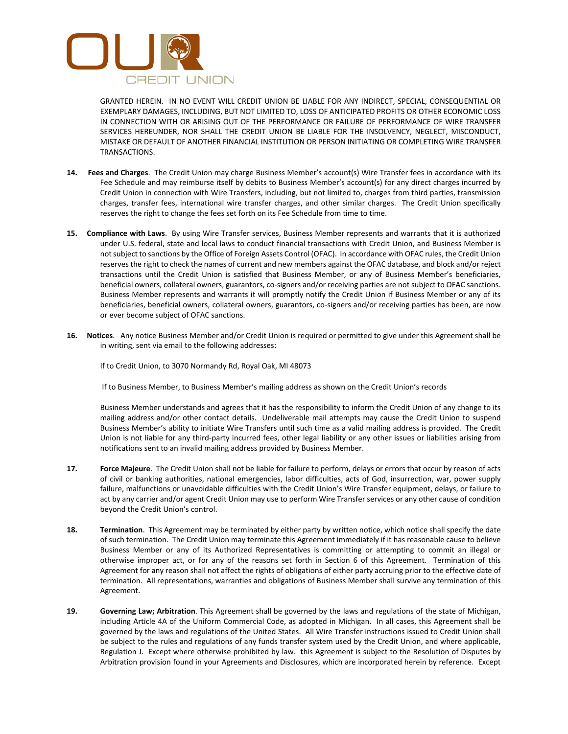

GRANTED HEREIN. IN NO EVENT WILL CREDIT UNION BE LIABLE FOR ANY INDIRECT, SPECIAL, CONSEQUENTIAL OR EXEMPLARY DAMAGES, INCLUDING, BUT NOT LIMITED TO, LOSS OF ANTICIPATED PROFITS OR OTHER ECONOMIC LOSS IN CONNECTION WITH OR ARISING OUT OF THE PERFORMANCE OR FAILURE OF PERFORMANCE OF WIRE TRANSFER SERVICES HEREUNDER, NOR SHALL THE CREDIT UNION BE LIABLE FOR THE INSOLVENCY, NEGLECT, MISCONDUCT, MISTAKE OR DEFAULT OF ANOTHER FINANCIAL INSTITUTION OR PERSON INITIATING OR COMPLETING WIRE TRANSFER TRANSACTIONS.

- **14. Fees and Charges**. The Credit Union may charge Business Member's account(s) Wire Transfer fees in accordance with its Fee Schedule and may reimburse itself by debits to Business Member's account(s) for any direct charges incurred by Credit Union in connection with Wire Transfers, including, but not limited to, charges from third parties, transmission charges, transfer fees, international wire transfer charges, and other similar charges. The Credit Union specifically reserves the right to change the fees set forth on its Fee Schedule from time to time.
- **15. Compliance with Laws**. By using Wire Transfer services, Business Member represents and warrants that it is authorized under U.S. federal, state and local laws to conduct financial transactions with Credit Union, and Business Member is not subject to sanctions by the Office of Foreign Assets Control (OFAC). In accordance with OFAC rules, the Credit Union reserves the right to check the names of current and new members against the OFAC database, and block and/or reject transactions until the Credit Union is satisfied that Business Member, or any of Business Member's beneficiaries, beneficial owners, collateral owners, guarantors, co-signers and/or receiving parties are not subject to OFAC sanctions. Business Member represents and warrants it will promptly notify the Credit Union if Business Member or any of its beneficiaries, beneficial owners, collateral owners, guarantors, co-signers and/or receiving parties has been, are now or ever become subject of OFAC sanctions.
- **16. Notices**. Any notice Business Member and/or Credit Union is required or permitted to give under this Agreement shall be in writing, sent via email to the following addresses:

If to Credit Union, to 3070 Normandy Rd, Royal Oak, MI 48073

If to Business Member, to Business Member's mailing address as shown on the Credit Union's records

Business Member understands and agrees that it has the responsibility to inform the Credit Union of any change to its mailing address and/or other contact details. Undeliverable mail attempts may cause the Credit Union to suspend Business Member's ability to initiate Wire Transfers until such time as a valid mailing address is provided. The Credit Union is not liable for any third-party incurred fees, other legal liability or any other issues or liabilities arising from notifications sent to an invalid mailing address provided by Business Member.

- **17. Force Majeure**. The Credit Union shall not be liable for failure to perform, delays or errors that occur by reason of acts of civil or banking authorities, national emergencies, labor difficulties, acts of God, insurrection, war, power supply failure, malfunctions or unavoidable difficulties with the Credit Union's Wire Transfer equipment, delays, or failure to act by any carrier and/or agent Credit Union may use to perform Wire Transfer services or any other cause of condition beyond the Credit Union's control.
- **18. Termination**. This Agreement may be terminated by either party by written notice, which notice shall specify the date of such termination. The Credit Union may terminate this Agreement immediately if it has reasonable cause to believe Business Member or any of its Authorized Representatives is committing or attempting to commit an illegal or otherwise improper act, or for any of the reasons set forth in Section 6 of this Agreement. Termination of this Agreement for any reason shall not affect the rights of obligations of either party accruing prior to the effective date of termination. All representations, warranties and obligations of Business Member shall survive any termination of this Agreement.
- **19. Governing Law; Arbitration**. This Agreement shall be governed by the laws and regulations of the state of Michigan, including Article 4A of the Uniform Commercial Code, as adopted in Michigan. In all cases, this Agreement shall be governed by the laws and regulations of the United States. All Wire Transfer instructions issued to Credit Union shall be subject to the rules and regulations of any funds transfer system used by the Credit Union, and where applicable, Regulation J. Except where otherwise prohibited by law. **t**his Agreement is subject to the Resolution of Disputes by Arbitration provision found in your Agreements and Disclosures, which are incorporated herein by reference. Except